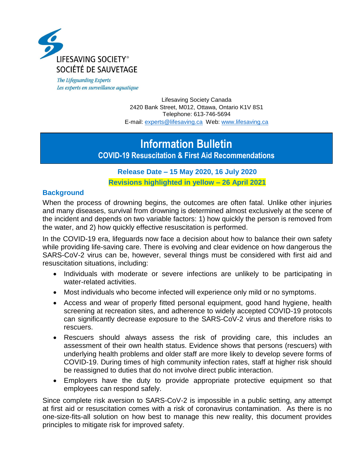

The Lifeguarding Experts Les experts en surveillance aquatique

> Lifesaving Society Canada 2420 Bank Street, M012, Ottawa, Ontario K1V 8S1 Telephone: 613-746-5694 E-mail: [experts@lifesaving.ca](mailto:experts@lifesaving.ca) Web: [www.lifesaving.ca](http://www.lifesaving.ca/)

# **Information Bulletin**

**COVID-19 Resuscitation & First Aid Recommendations**

## **Release Date – 15 May 2020, 16 July 2020**

**Revisions highlighted in yellow – 26 April 2021**

#### **Background**

When the process of drowning begins, the outcomes are often fatal. Unlike other injuries and many diseases, survival from drowning is determined almost exclusively at the scene of the incident and depends on two variable factors: 1) how quickly the person is removed from the water, and 2) how quickly effective resuscitation is performed.

In the COVID-19 era, lifeguards now face a decision about how to balance their own safety while providing life-saving care. There is evolving and clear evidence on how dangerous the SARS-CoV-2 virus can be, however, several things must be considered with first aid and resuscitation situations, including:

- Individuals with moderate or severe infections are unlikely to be participating in water-related activities.
- Most individuals who become infected will experience only mild or no symptoms.
- Access and wear of properly fitted personal equipment, good hand hygiene, health screening at recreation sites, and adherence to widely accepted COVID-19 protocols can significantly decrease exposure to the SARS-CoV-2 virus and therefore risks to rescuers.
- Rescuers should always assess the risk of providing care, this includes an assessment of their own health status. Evidence shows that persons (rescuers) with underlying health problems and older staff are more likely to develop severe forms of COVID-19. During times of high community infection rates, staff at higher risk should be reassigned to duties that do not involve direct public interaction.
- Employers have the duty to provide appropriate protective equipment so that employees can respond safely.

Since complete risk aversion to SARS-CoV-2 is impossible in a public setting, any attempt at first aid or resuscitation comes with a risk of coronavirus contamination. As there is no one-size-fits-all solution on how best to manage this new reality, this document provides principles to mitigate risk for improved safety.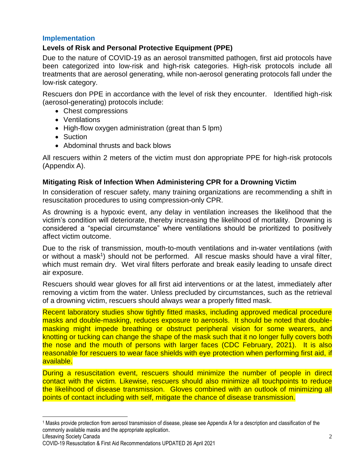## **Implementation**

## **Levels of Risk and Personal Protective Equipment (PPE)**

Due to the nature of COVID-19 as an aerosol transmitted pathogen, first aid protocols have been categorized into low-risk and high-risk categories. High-risk protocols include all treatments that are aerosol generating, while non-aerosol generating protocols fall under the low-risk category.

Rescuers don PPE in accordance with the level of risk they encounter. Identified high-risk (aerosol-generating) protocols include:

- Chest compressions
- Ventilations
- High-flow oxygen administration (great than 5 lpm)
- Suction
- Abdominal thrusts and back blows

All rescuers within 2 meters of the victim must don appropriate PPE for high-risk protocols (Appendix A).

## **Mitigating Risk of Infection When Administering CPR for a Drowning Victim**

In consideration of rescuer safety, many training organizations are recommending a shift in resuscitation procedures to using compression-only CPR.

As drowning is a hypoxic event, any delay in ventilation increases the likelihood that the victim's condition will deteriorate, thereby increasing the likelihood of mortality. Drowning is considered a "special circumstance" where ventilations should be prioritized to positively affect victim outcome.

Due to the risk of transmission, mouth-to-mouth ventilations and in-water ventilations (with or without a mask<sup>1</sup>) should not be performed. All rescue masks should have a viral filter, which must remain dry. Wet viral filters perforate and break easily leading to unsafe direct air exposure.

Rescuers should wear gloves for all first aid interventions or at the latest, immediately after removing a victim from the water. Unless precluded by circumstances, such as the retrieval of a drowning victim, rescuers should always wear a properly fitted mask.

Recent laboratory studies show tightly fitted masks, including approved medical procedure masks and double-masking, reduces exposure to aerosols. It should be noted that doublemasking might impede breathing or obstruct peripheral vision for some wearers, and knotting or tucking can change the shape of the mask such that it no longer fully covers both the nose and the mouth of persons with larger faces (CDC February, 2021). It is also reasonable for rescuers to wear face shields with eye protection when performing first aid, if available.

During a resuscitation event, rescuers should minimize the number of people in direct contact with the victim. Likewise, rescuers should also minimize all touchpoints to reduce the likelihood of disease transmission. Gloves combined with an outlook of minimizing all points of contact including with self, mitigate the chance of disease transmission.

 $\overline{\phantom{a}}$ 

<sup>1</sup> Masks provide protection from aerosol transmission of disease, please see Appendix A for a description and classification of the commonly available masks and the appropriate application.

COVID-19 Resuscitation & First Aid Recommendations UPDATED 26 April 2021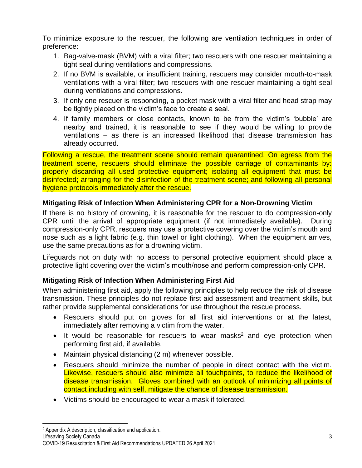To minimize exposure to the rescuer, the following are ventilation techniques in order of preference:

- 1. Bag-valve-mask (BVM) with a viral filter; two rescuers with one rescuer maintaining a tight seal during ventilations and compressions.
- 2. If no BVM is available, or insufficient training, rescuers may consider mouth-to-mask ventilations with a viral filter; two rescuers with one rescuer maintaining a tight seal during ventilations and compressions.
- 3. If only one rescuer is responding, a pocket mask with a viral filter and head strap may be tightly placed on the victim's face to create a seal.
- 4. If family members or close contacts, known to be from the victim's 'bubble' are nearby and trained, it is reasonable to see if they would be willing to provide ventilations – as there is an increased likelihood that disease transmission has already occurred.

Following a rescue, the treatment scene should remain quarantined. On egress from the treatment scene, rescuers should eliminate the possible carriage of contaminants by: properly discarding all used protective equipment; isolating all equipment that must be disinfected; arranging for the disinfection of the treatment scene; and following all personal hygiene protocols immediately after the rescue.

## **Mitigating Risk of Infection When Administering CPR for a Non-Drowning Victim**

If there is no history of drowning, it is reasonable for the rescuer to do compression-only CPR until the arrival of appropriate equipment (if not immediately available). During compression-only CPR, rescuers may use a protective covering over the victim's mouth and nose such as a light fabric (e.g. thin towel or light clothing). When the equipment arrives, use the same precautions as for a drowning victim.

Lifeguards not on duty with no access to personal protective equipment should place a protective light covering over the victim's mouth/nose and perform compression-only CPR.

# **Mitigating Risk of Infection When Administering First Aid**

When administering first aid, apply the following principles to help reduce the risk of disease transmission. These principles do not replace first aid assessment and treatment skills, but rather provide supplemental considerations for use throughout the rescue process.

- Rescuers should put on gloves for all first aid interventions or at the latest, immediately after removing a victim from the water.
- $\bullet$  It would be reasonable for rescuers to wear masks<sup>2</sup> and eye protection when performing first aid, if available.
- Maintain physical distancing (2 m) whenever possible.
- Rescuers should minimize the number of people in direct contact with the victim. Likewise, rescuers should also minimize all touchpoints, to reduce the likelihood of disease transmission. Gloves combined with an outlook of minimizing all points of contact including with self, mitigate the chance of disease transmission.
- Victims should be encouraged to wear a mask if tolerated.

l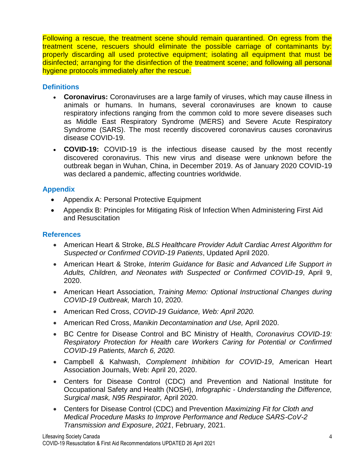Following a rescue, the treatment scene should remain quarantined. On egress from the treatment scene, rescuers should eliminate the possible carriage of contaminants by: properly discarding all used protective equipment; isolating all equipment that must be disinfected; arranging for the disinfection of the treatment scene; and following all personal hygiene protocols immediately after the rescue.

## **Definitions**

- **Coronavirus:** Coronaviruses are a large family of viruses, which may cause illness in animals or humans. In humans, several coronaviruses are known to cause respiratory infections ranging from the common cold to more severe diseases such as Middle East Respiratory Syndrome (MERS) and Severe Acute Respiratory Syndrome (SARS). The most recently discovered coronavirus causes coronavirus disease COVID-19.
- **COVID-19:** COVID-19 is the infectious disease caused by the most recently discovered coronavirus. This new virus and disease were unknown before the outbreak began in Wuhan, China, in December 2019. As of January 2020 COVID-19 was declared a pandemic, affecting countries worldwide.

## **Appendix**

- Appendix A: Personal Protective Equipment
- Appendix B: Principles for Mitigating Risk of Infection When Administering First Aid and Resuscitation

#### **References**

- American Heart & Stroke, *BLS Healthcare Provider Adult Cardiac Arrest Algorithm for Suspected or Confirmed COVID-19 Patients*, Updated April 2020.
- American Heart & Stroke, *Interim Guidance for Basic and Advanced Life Support in Adults, Children, and Neonates with Suspected or Confirmed COVID-19*, April 9, 2020.
- American Heart Association, *Training Memo: Optional Instructional Changes during COVID-19 Outbreak,* March 10, 2020.
- American Red Cross, *COVID-19 Guidance, Web: April 2020.*
- American Red Cross, *Manikin Decontamination and Use,* April 2020.
- BC Centre for Disease Control and BC Ministry of Health, *Coronavirus COVID-19: Respiratory Protection for Health care Workers Caring for Potential or Confirmed COVID-19 Patients, March 6, 2020.*
- Campbell & Kahwash, *Complement Inhibition for COVID-19*, American Heart Association Journals, Web: April 20, 2020.
- Centers for Disease Control (CDC) and Prevention and National Institute for Occupational Safety and Health (NOSH), *Infographic - Understanding the Difference, Surgical mask, N95 Respirator,* April 2020.
- Centers for Disease Control (CDC) and Prevention *Maximizing Fit for Cloth and Medical Procedure Masks to Improve Performance and Reduce SARS-CoV-2 Transmission and Exposure*, *2021*, February, 2021.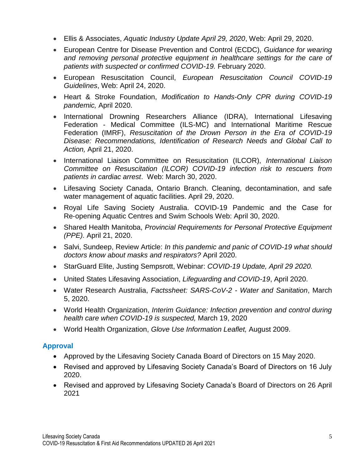- Ellis & Associates, *Aquatic Industry Update April 29, 2020*, Web: April 29, 2020.
- European Centre for Disease Prevention and Control (ECDC), *Guidance for wearing and removing personal protective equipment in healthcare settings for the care of patients with suspected or confirmed COVID-19.* February 2020.
- European Resuscitation Council, *European Resuscitation Council COVID-19 Guidelines*, Web: April 24, 2020.
- Heart & Stroke Foundation, *Modification to Hands-Only CPR during COVID-19 pandemic,* April 2020.
- International Drowning Researchers Alliance (IDRA), International Lifesaving Federation - Medical Committee (ILS-MC) and International Maritime Rescue Federation (IMRF), *Resuscitation of the Drown Person in the Era of COVID-19 Disease: Recommendations, Identification of Research Needs and Global Call to Action,* April 21, 2020.
- International Liaison Committee on Resuscitation (ILCOR), *International Liaison Committee on Resuscitation (ILCOR) COVID-19 infection risk to rescuers from patients in cardiac arrest*. Web: March 30, 2020.
- Lifesaving Society Canada, Ontario Branch. Cleaning, decontamination, and safe water management of aquatic facilities. April 29, 2020.
- Royal Life Saving Society Australia. COVID‐19 Pandemic and the Case for Re‐opening Aquatic Centres and Swim Schools Web: April 30, 2020.
- Shared Health Manitoba, *Provincial Requirements for Personal Protective Equipment (PPE).* April 21, 2020.
- Salvi, Sundeep, Review Article: *In this pandemic and panic of COVID-19 what should doctors know about masks and respirators?* April 2020.
- StarGuard Elite, Justing Sempsrott, Webinar: *COVID-19 Update, April 29 2020.*
- United States Lifesaving Association, *Lifeguarding and COVID-19*, April 2020.
- Water Research Australia, *Factssheet: SARS-CoV-2 - Water and Sanitation*, March 5, 2020.
- World Health Organization, *Interim Guidance: Infection prevention and control during health care when COVID-19 is suspected,* March 19, 2020
- World Health Organization, *Glove Use Information Leaflet,* August 2009.

## **Approval**

- Approved by the Lifesaving Society Canada Board of Directors on 15 May 2020.
- Revised and approved by Lifesaving Society Canada's Board of Directors on 16 July 2020.
- Revised and approved by Lifesaving Society Canada's Board of Directors on 26 April 2021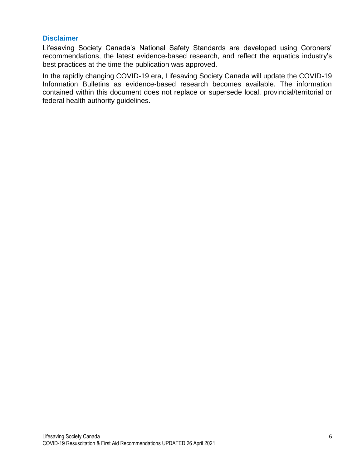#### **Disclaimer**

Lifesaving Society Canada's National Safety Standards are developed using Coroners' recommendations, the latest evidence-based research, and reflect the aquatics industry's best practices at the time the publication was approved.

In the rapidly changing COVID-19 era, Lifesaving Society Canada will update the COVID-19 Information Bulletins as evidence-based research becomes available. The information contained within this document does not replace or supersede local, provincial/territorial or federal health authority guidelines.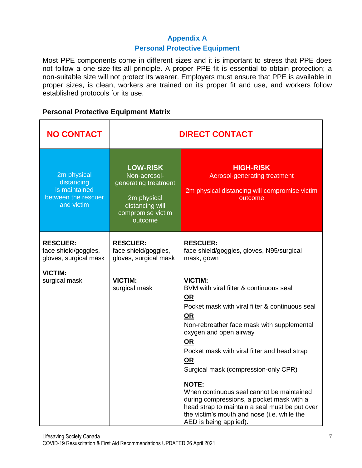## **Appendix A**

#### **Personal Protective Equipment**

Most PPE components come in different sizes and it is important to stress that PPE does not follow a one-size-fits-all principle. A proper PPE fit is essential to obtain protection; a non-suitable size will not protect its wearer. Employers must ensure that PPE is available in proper sizes, is clean, workers are trained on its proper fit and use, and workers follow established protocols for its use.

#### **Personal Protective Equipment Matrix**

| <b>NO CONTACT</b>                                                               | <b>DIRECT CONTACT</b>                                                                                                     |                                                                                                                                                                                                                                                                                                                                                                                                                                                                                                                                                         |
|---------------------------------------------------------------------------------|---------------------------------------------------------------------------------------------------------------------------|---------------------------------------------------------------------------------------------------------------------------------------------------------------------------------------------------------------------------------------------------------------------------------------------------------------------------------------------------------------------------------------------------------------------------------------------------------------------------------------------------------------------------------------------------------|
| 2m physical<br>distancing<br>is maintained<br>between the rescuer<br>and victim | <b>LOW-RISK</b><br>Non-aerosol-<br>generating treatment<br>2m physical<br>distancing will<br>compromise victim<br>outcome | <b>HIGH-RISK</b><br>Aerosol-generating treatment<br>2m physical distancing will compromise victim<br>outcome                                                                                                                                                                                                                                                                                                                                                                                                                                            |
| <b>RESCUER:</b><br>face shield/goggles,<br>gloves, surgical mask                | <b>RESCUER:</b><br>face shield/goggles,<br>gloves, surgical mask                                                          | <b>RESCUER:</b><br>face shield/goggles, gloves, N95/surgical<br>mask, gown                                                                                                                                                                                                                                                                                                                                                                                                                                                                              |
| <b>VICTIM:</b><br>surgical mask                                                 | <b>VICTIM:</b><br>surgical mask                                                                                           | <b>VICTIM:</b><br>BVM with viral filter & continuous seal<br>OR<br>Pocket mask with viral filter & continuous seal<br><u>OR</u><br>Non-rebreather face mask with supplemental<br>oxygen and open airway<br>OR<br>Pocket mask with viral filter and head strap<br><u>OR</u><br>Surgical mask (compression-only CPR)<br><b>NOTE:</b><br>When continuous seal cannot be maintained<br>during compressions, a pocket mask with a<br>head strap to maintain a seal must be put over<br>the victim's mouth and nose (i.e. while the<br>AED is being applied). |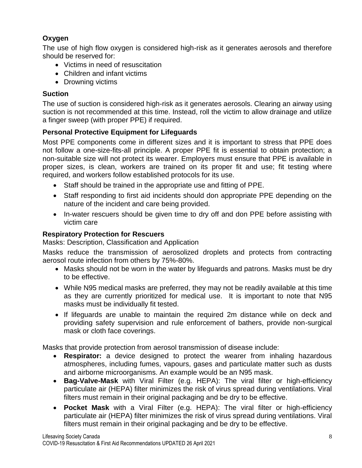# **Oxygen**

The use of high flow oxygen is considered high-risk as it generates aerosols and therefore should be reserved for:

- Victims in need of resuscitation
- Children and infant victims
- Drowning victims

## **Suction**

The use of suction is considered high-risk as it generates aerosols. Clearing an airway using suction is not recommended at this time. Instead, roll the victim to allow drainage and utilize a finger sweep (with proper PPE) if required.

## **Personal Protective Equipment for Lifeguards**

Most PPE components come in different sizes and it is important to stress that PPE does not follow a one-size-fits-all principle. A proper PPE fit is essential to obtain protection; a non-suitable size will not protect its wearer. Employers must ensure that PPE is available in proper sizes, is clean, workers are trained on its proper fit and use; fit testing where required, and workers follow established protocols for its use.

- Staff should be trained in the appropriate use and fitting of PPE.
- Staff responding to first aid incidents should don appropriate PPE depending on the nature of the incident and care being provided.
- In-water rescuers should be given time to dry off and don PPE before assisting with victim care

## **Respiratory Protection for Rescuers**

Masks: Description, Classification and Application

Masks reduce the transmission of aerosolized droplets and protects from contracting aerosol route infection from others by 75%-80%.

- Masks should not be worn in the water by lifeguards and patrons. Masks must be dry to be effective.
- While N95 medical masks are preferred, they may not be readily available at this time as they are currently prioritized for medical use. It is important to note that N95 masks must be individually fit tested.
- If lifeguards are unable to maintain the required 2m distance while on deck and providing safety supervision and rule enforcement of bathers, provide non-surgical mask or cloth face coverings.

Masks that provide protection from aerosol transmission of disease include:

- **Respirator:** a device designed to protect the wearer from inhaling hazardous atmospheres, including fumes, vapours, gases and particulate matter such as dusts and airborne microorganisms. An example would be an N95 mask.
- **Bag-Valve-Mask** with Viral Filter (e.g. HEPA): The viral filter or high-efficiency particulate air (HEPA) filter minimizes the risk of virus spread during ventilations. Viral filters must remain in their original packaging and be dry to be effective.
- **Pocket Mask** with a Viral Filter (e.g. HEPA): The viral filter or high-efficiency particulate air (HEPA) filter minimizes the risk of virus spread during ventilations. Viral filters must remain in their original packaging and be dry to be effective.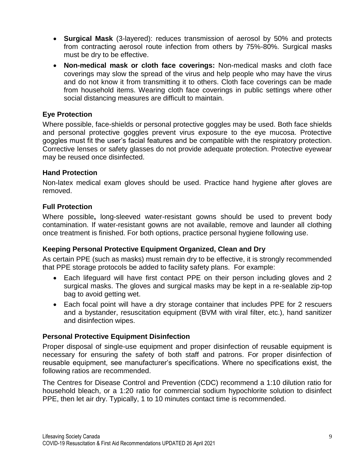- **Surgical Mask** (3-layered): reduces transmission of aerosol by 50% and protects from contracting aerosol route infection from others by 75%-80%. Surgical masks must be dry to be effective.
- **Non-medical mask or cloth face coverings:** Non-medical masks and cloth face coverings may slow the spread of the virus and help people who may have the virus and do not know it from transmitting it to others. Cloth face coverings can be made from household items. Wearing cloth face coverings in public settings where other social distancing measures are difficult to maintain.

## **Eye Protection**

Where possible, face-shields or personal protective goggles may be used. Both face shields and personal protective goggles prevent virus exposure to the eye mucosa. Protective goggles must fit the user's facial features and be compatible with the respiratory protection. Corrective lenses or safety glasses do not provide adequate protection. Protective eyewear may be reused once disinfected.

## **Hand Protection**

Non-latex medical exam gloves should be used. Practice hand hygiene after gloves are removed.

## **Full Protection**

Where possible**,** long-sleeved water-resistant gowns should be used to prevent body contamination. If water-resistant gowns are not available, remove and launder all clothing once treatment is finished. For both options, practice personal hygiene following use.

## **Keeping Personal Protective Equipment Organized, Clean and Dry**

As certain PPE (such as masks) must remain dry to be effective, it is strongly recommended that PPE storage protocols be added to facility safety plans. For example:

- Each lifeguard will have first contact PPE on their person including gloves and 2 surgical masks. The gloves and surgical masks may be kept in a re-sealable zip-top bag to avoid getting wet.
- Each focal point will have a dry storage container that includes PPE for 2 rescuers and a bystander, resuscitation equipment (BVM with viral filter, etc.), hand sanitizer and disinfection wipes.

#### **Personal Protective Equipment Disinfection**

Proper disposal of single-use equipment and proper disinfection of reusable equipment is necessary for ensuring the safety of both staff and patrons. For proper disinfection of reusable equipment, see manufacturer's specifications. Where no specifications exist, the following ratios are recommended.

The Centres for Disease Control and Prevention (CDC) recommend a 1:10 dilution ratio for household bleach, or a 1:20 ratio for commercial sodium hypochlorite solution to disinfect PPE, then let air dry. Typically, 1 to 10 minutes contact time is recommended.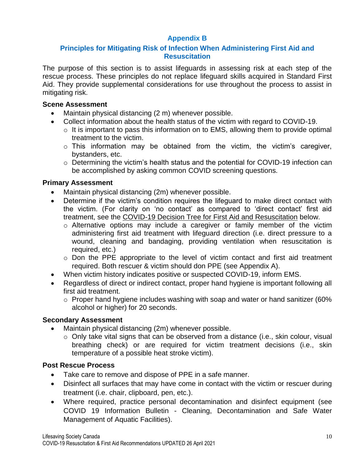# **Appendix B**

## **Principles for Mitigating Risk of Infection When Administering First Aid and Resuscitation**

The purpose of this section is to assist lifeguards in assessing risk at each step of the rescue process. These principles do not replace lifeguard skills acquired in Standard First Aid. They provide supplemental considerations for use throughout the process to assist in mitigating risk.

#### **Scene Assessment**

- Maintain physical distancing (2 m) whenever possible.
- Collect information about the health status of the victim with regard to COVID-19.
	- $\circ$  It is important to pass this information on to EMS, allowing them to provide optimal treatment to the victim.
	- $\circ$  This information may be obtained from the victim, the victim's caregiver, bystanders, etc.
	- o Determining the victim's health status and the potential for COVID-19 infection can be accomplished by asking common COVID screening questions.

## **Primary Assessment**

- Maintain physical distancing (2m) whenever possible.
- Determine if the victim's condition requires the lifeguard to make direct contact with the victim. (For clarity on 'no contact' as compared to 'direct contact' first aid treatment, see the COVID-19 Decision Tree for First Aid and Resuscitation below.
	- o Alternative options may include a caregiver or family member of the victim administering first aid treatment with lifeguard direction (i.e. direct pressure to a wound, cleaning and bandaging, providing ventilation when resuscitation is required, etc.)
	- $\circ$  Don the PPE appropriate to the level of victim contact and first aid treatment required. Both rescuer & victim should don PPE (see Appendix A).
- When victim history indicates positive or suspected COVID-19, inform EMS.
- Regardless of direct or indirect contact, proper hand hygiene is important following all first aid treatment.
	- $\circ$  Proper hand hygiene includes washing with soap and water or hand sanitizer (60%) alcohol or higher) for 20 seconds.

## **Secondary Assessment**

- Maintain physical distancing (2m) whenever possible.
	- o Only take vital signs that can be observed from a distance (i.e., skin colour, visual breathing check) or are required for victim treatment decisions (i.e., skin temperature of a possible heat stroke victim).

#### **Post Rescue Process**

- Take care to remove and dispose of PPE in a safe manner.
- Disinfect all surfaces that may have come in contact with the victim or rescuer during treatment (i.e. chair, clipboard, pen, etc.).
- Where required, practice personal decontamination and disinfect equipment (see COVID 19 Information Bulletin - Cleaning, Decontamination and Safe Water Management of Aquatic Facilities).